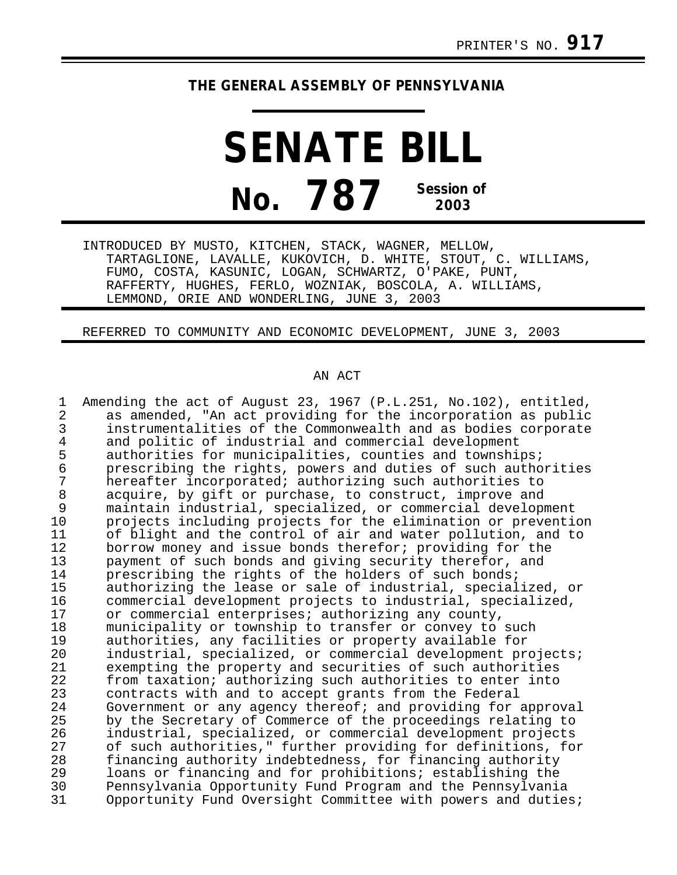## **THE GENERAL ASSEMBLY OF PENNSYLVANIA**

**SENATE BILL No. 787 Session of 2003**

INTRODUCED BY MUSTO, KITCHEN, STACK, WAGNER, MELLOW, TARTAGLIONE, LAVALLE, KUKOVICH, D. WHITE, STOUT, C. WILLIAMS, FUMO, COSTA, KASUNIC, LOGAN, SCHWARTZ, O'PAKE, PUNT, RAFFERTY, HUGHES, FERLO, WOZNIAK, BOSCOLA, A. WILLIAMS, LEMMOND, ORIE AND WONDERLING, JUNE 3, 2003

REFERRED TO COMMUNITY AND ECONOMIC DEVELOPMENT, JUNE 3, 2003

## AN ACT

| 1<br>$\overline{a}$<br>3<br>$\overline{4}$<br>5 | Amending the act of August 23, 1967 (P.L.251, No.102), entitled,<br>as amended, "An act providing for the incorporation as public<br>instrumentalities of the Commonwealth and as bodies corporate<br>and politic of industrial and commercial development<br>authorities for municipalities, counties and townships; |
|-------------------------------------------------|-----------------------------------------------------------------------------------------------------------------------------------------------------------------------------------------------------------------------------------------------------------------------------------------------------------------------|
| $\epsilon$                                      | prescribing the rights, powers and duties of such authorities                                                                                                                                                                                                                                                         |
| 7                                               | hereafter incorporated; authorizing such authorities to                                                                                                                                                                                                                                                               |
| 8                                               | acquire, by gift or purchase, to construct, improve and                                                                                                                                                                                                                                                               |
| 9                                               | maintain industrial, specialized, or commercial development                                                                                                                                                                                                                                                           |
| 10                                              | projects including projects for the elimination or prevention                                                                                                                                                                                                                                                         |
| 11                                              | of blight and the control of air and water pollution, and to                                                                                                                                                                                                                                                          |
| 12                                              | borrow money and issue bonds therefor; providing for the                                                                                                                                                                                                                                                              |
| 13                                              | payment of such bonds and giving security therefor, and                                                                                                                                                                                                                                                               |
| 14                                              | prescribing the rights of the holders of such bonds;                                                                                                                                                                                                                                                                  |
| 15                                              | authorizing the lease or sale of industrial, specialized, or                                                                                                                                                                                                                                                          |
| 16                                              | commercial development projects to industrial, specialized,                                                                                                                                                                                                                                                           |
| 17<br>18                                        | or commercial enterprises; authorizing any county,                                                                                                                                                                                                                                                                    |
| 19                                              | municipality or township to transfer or convey to such                                                                                                                                                                                                                                                                |
| 20                                              | authorities, any facilities or property available for<br>industrial, specialized, or commercial development projects;                                                                                                                                                                                                 |
| 21                                              | exempting the property and securities of such authorities                                                                                                                                                                                                                                                             |
| 22                                              | from taxation; authorizing such authorities to enter into                                                                                                                                                                                                                                                             |
| 23                                              | contracts with and to accept grants from the Federal                                                                                                                                                                                                                                                                  |
| 24                                              | Government or any agency thereof; and providing for approval                                                                                                                                                                                                                                                          |
| 25                                              | by the Secretary of Commerce of the proceedings relating to                                                                                                                                                                                                                                                           |
| 26                                              | industrial, specialized, or commercial development projects                                                                                                                                                                                                                                                           |
| 27                                              | of such authorities," further providing for definitions, for                                                                                                                                                                                                                                                          |
| 28                                              | financing authority indebtedness, for financing authority                                                                                                                                                                                                                                                             |
| 29                                              | loans or financing and for prohibitions; establishing the                                                                                                                                                                                                                                                             |
| 30                                              | Pennsylvania Opportunity Fund Program and the Pennsylvania                                                                                                                                                                                                                                                            |
| 31                                              | Opportunity Fund Oversight Committee with powers and duties;                                                                                                                                                                                                                                                          |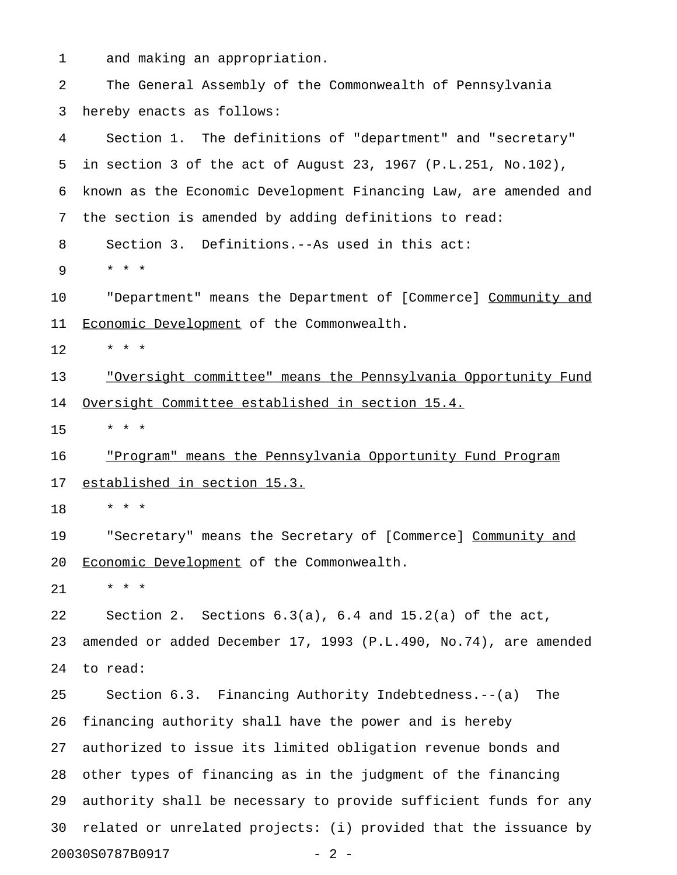1 and making an appropriation.

2 The General Assembly of the Commonwealth of Pennsylvania 3 hereby enacts as follows: 4 Section 1. The definitions of "department" and "secretary" 5 in section 3 of the act of August 23, 1967 (P.L.251, No.102), 6 known as the Economic Development Financing Law, are amended and 7 the section is amended by adding definitions to read: 8 Section 3. Definitions.--As used in this act: 9 \* \* \* 10 "Department" means the Department of [Commerce] Community and 11 Economic Development of the Commonwealth.  $12 + * * * *$ 13 "Oversight committee" means the Pennsylvania Opportunity Fund \_\_\_\_\_\_\_\_\_\_\_\_\_\_\_\_\_\_\_\_\_\_\_\_\_\_\_\_\_\_\_\_\_\_\_\_\_\_\_\_\_\_\_\_\_\_\_\_\_\_\_\_\_\_\_\_\_\_\_\_\_ 14 Oversight Committee established in section 15.4. 15 \* \* \* 16 "Program" means the Pennsylvania Opportunity Fund Program 17 established in section 15.3. 18 \* \* \* 19 • "Secretary" means the Secretary of [Commerce] Community and 20 Economic Development of the Commonwealth. 21 \* \* \* 22 Section 2. Sections 6.3(a), 6.4 and 15.2(a) of the act, 23 amended or added December 17, 1993 (P.L.490, No.74), are amended 24 to read: 25 Section 6.3. Financing Authority Indebtedness.--(a) The 26 financing authority shall have the power and is hereby 27 authorized to issue its limited obligation revenue bonds and 28 other types of financing as in the judgment of the financing 29 authority shall be necessary to provide sufficient funds for any 30 related or unrelated projects: (i) provided that the issuance by 20030S0787B0917 - 2 -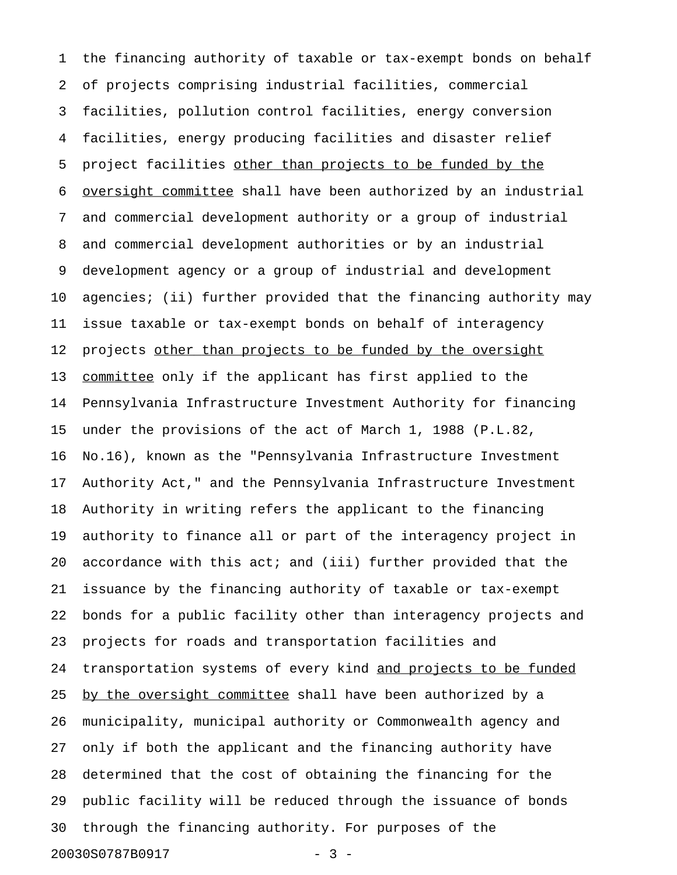1 the financing authority of taxable or tax-exempt bonds on behalf 2 of projects comprising industrial facilities, commercial 3 facilities, pollution control facilities, energy conversion 4 facilities, energy producing facilities and disaster relief 5 project facilities other than projects to be funded by the 6 oversight committee shall have been authorized by an industrial 7 and commercial development authority or a group of industrial 8 and commercial development authorities or by an industrial 9 development agency or a group of industrial and development 10 agencies; (ii) further provided that the financing authority may 11 issue taxable or tax-exempt bonds on behalf of interagency 12 projects other than projects to be funded by the oversight 13 committee only if the applicant has first applied to the 14 Pennsylvania Infrastructure Investment Authority for financing 15 under the provisions of the act of March 1, 1988 (P.L.82, 16 No.16), known as the "Pennsylvania Infrastructure Investment 17 Authority Act," and the Pennsylvania Infrastructure Investment 18 Authority in writing refers the applicant to the financing 19 authority to finance all or part of the interagency project in 20 accordance with this act; and (iii) further provided that the 21 issuance by the financing authority of taxable or tax-exempt 22 bonds for a public facility other than interagency projects and 23 projects for roads and transportation facilities and 24 transportation systems of every kind and projects to be funded 25 by the oversight committee shall have been authorized by a 26 municipality, municipal authority or Commonwealth agency and 27 only if both the applicant and the financing authority have 28 determined that the cost of obtaining the financing for the 29 public facility will be reduced through the issuance of bonds 30 through the financing authority. For purposes of the 20030S0787B0917 - 3 -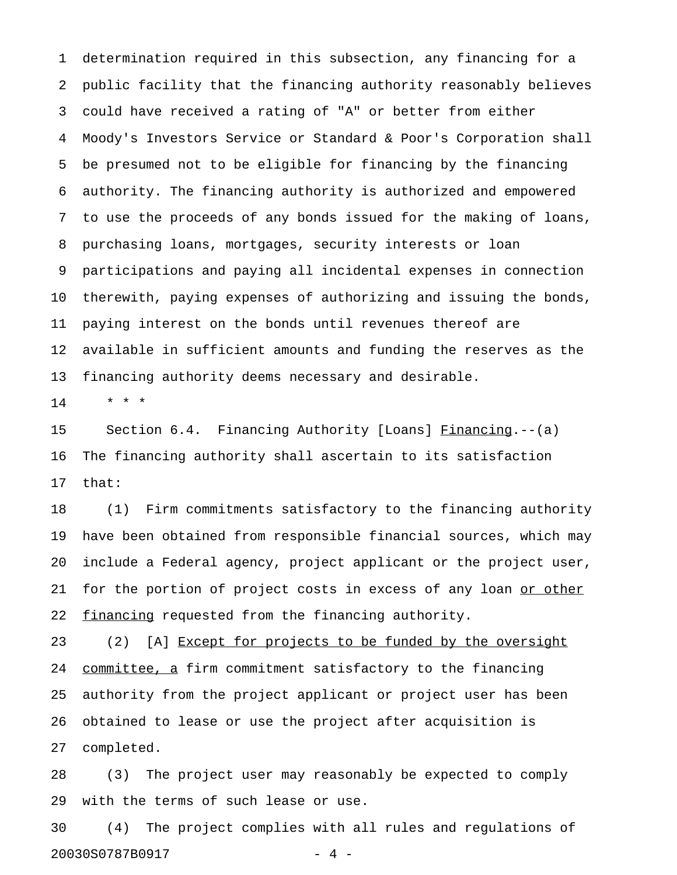1 determination required in this subsection, any financing for a 2 public facility that the financing authority reasonably believes 3 could have received a rating of "A" or better from either 4 Moody's Investors Service or Standard & Poor's Corporation shall 5 be presumed not to be eligible for financing by the financing 6 authority. The financing authority is authorized and empowered 7 to use the proceeds of any bonds issued for the making of loans, 8 purchasing loans, mortgages, security interests or loan 9 participations and paying all incidental expenses in connection 10 therewith, paying expenses of authorizing and issuing the bonds, 11 paying interest on the bonds until revenues thereof are 12 available in sufficient amounts and funding the reserves as the 13 financing authority deems necessary and desirable.

 $14$  \* \* \*

15 Section 6.4. Financing Authority [Loans] Financing.--(a) 16 The financing authority shall ascertain to its satisfaction 17 that:

18 (1) Firm commitments satisfactory to the financing authority 19 have been obtained from responsible financial sources, which may 20 include a Federal agency, project applicant or the project user, 21 for the portion of project costs in excess of any loan or other 22 financing requested from the financing authority.

23 (2) [A] Except for projects to be funded by the oversight 24 committee, a firm commitment satisfactory to the financing 25 authority from the project applicant or project user has been 26 obtained to lease or use the project after acquisition is 27 completed.

28 (3) The project user may reasonably be expected to comply 29 with the terms of such lease or use.

30 (4) The project complies with all rules and regulations of 20030S0787B0917 - 4 -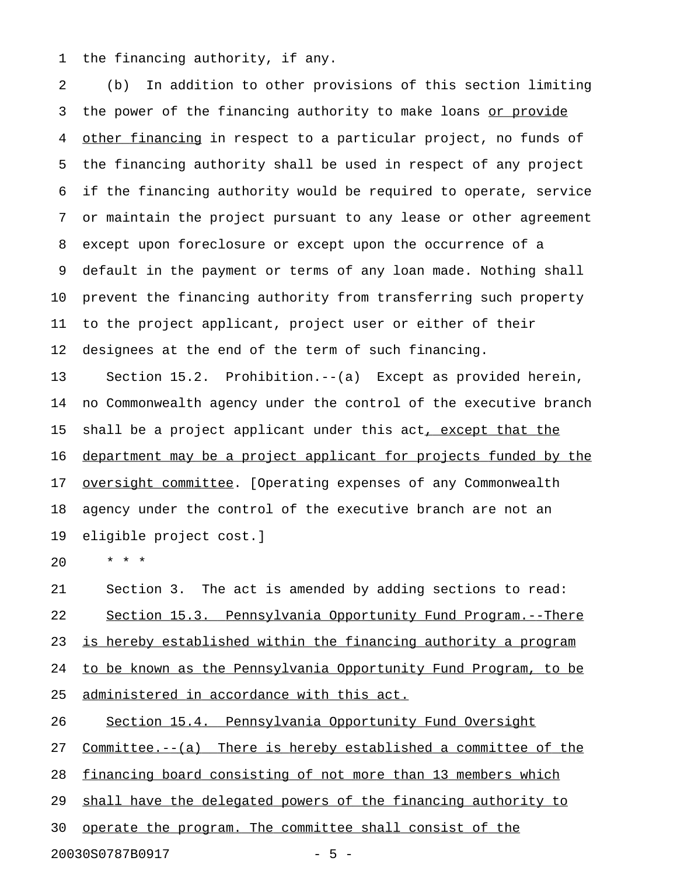1 the financing authority, if any.

2 (b) In addition to other provisions of this section limiting 3 the power of the financing authority to make loans or provide 4 other financing in respect to a particular project, no funds of 5 the financing authority shall be used in respect of any project 6 if the financing authority would be required to operate, service 7 or maintain the project pursuant to any lease or other agreement 8 except upon foreclosure or except upon the occurrence of a 9 default in the payment or terms of any loan made. Nothing shall 10 prevent the financing authority from transferring such property 11 to the project applicant, project user or either of their 12 designees at the end of the term of such financing.

13 Section 15.2. Prohibition.--(a) Except as provided herein, 14 no Commonwealth agency under the control of the executive branch 15 shall be a project applicant under this act, except that the 16 department may be a project applicant for projects funded by the 17 <u>oversight committee</u>. [Operating expenses of any Commonwealth 18 agency under the control of the executive branch are not an 19 eligible project cost.]

20 \* \* \*

21 Section 3. The act is amended by adding sections to read: 22 Section 15.3. Pennsylvania Opportunity Fund Program.--There 23 is hereby established within the financing authority a program 24 to be known as the Pennsylvania Opportunity Fund Program, to be 25 administered in accordance with this act.

26 Section 15.4. Pennsylvania Opportunity Fund Oversight

27 Committee.--(a) There is hereby established a committee of the

28 financing board consisting of not more than 13 members which

29 shall have the delegated powers of the financing authority to

30 operate the program. The committee shall consist of the

20030S0787B0917 - 5 -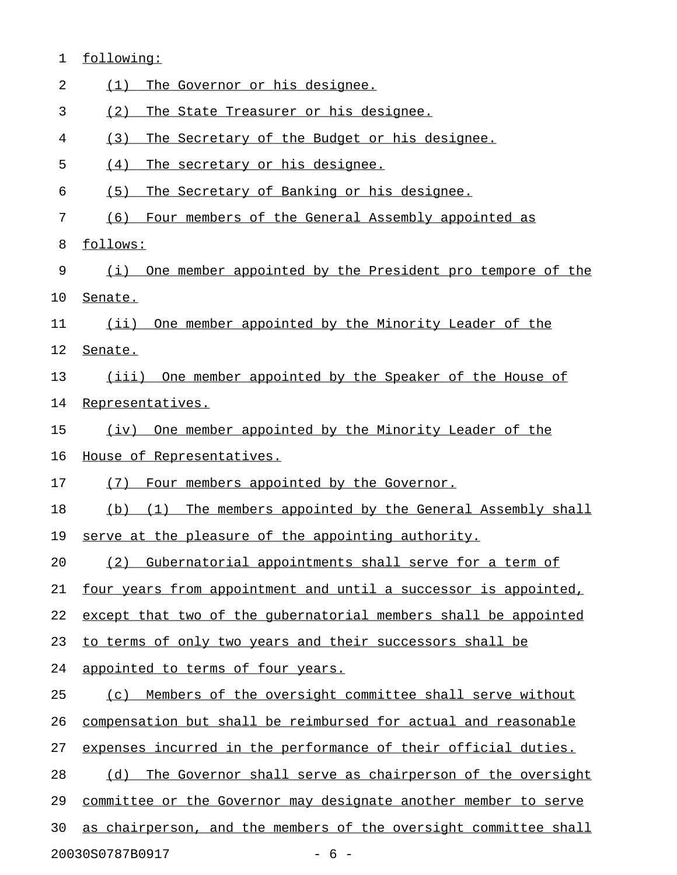| 1                        | following:                                                         |  |
|--------------------------|--------------------------------------------------------------------|--|
| 2                        | The Governor or his designee.<br>(1)                               |  |
| 3                        | (2)<br>The State Treasurer or his designee.                        |  |
| 4                        | The Secretary of the Budget or his designee.<br>(3)                |  |
| 5                        | (4)<br>The secretary or his designee.                              |  |
| 6                        | The Secretary of Banking or his designee.<br>(5)                   |  |
| 7                        | Four members of the General Assembly appointed as<br>(6)           |  |
| 8                        | follows:                                                           |  |
| 9                        | One member appointed by the President pro tempore of the<br>(i)    |  |
| 10                       | Senate.                                                            |  |
| 11                       | (ii) One member appointed by the Minority Leader of the            |  |
| 12                       | Senate.                                                            |  |
| 13                       | (iii) One member appointed by the Speaker of the House of          |  |
| 14                       | Representatives.                                                   |  |
| 15                       | One member appointed by the Minority Leader of the<br>(iv)         |  |
| 16                       | House of Representatives.                                          |  |
| 17                       | Four members appointed by the Governor.<br>(7)                     |  |
| 18                       | The members appointed by the General Assembly shall<br>$(b)$ $(1)$ |  |
| 19                       | serve at the pleasure of the appointing authority.                 |  |
| 20                       | (2) Gubernatorial appointments shall serve for a term of           |  |
| 21                       | four years from appointment and until a successor is appointed,    |  |
| 22                       | except that two of the gubernatorial members shall be appointed    |  |
| 23                       | to terms of only two years and their successors shall be           |  |
| 24                       | appointed to terms of four years.                                  |  |
| 25                       | Members of the oversight committee shall serve without<br>(C)      |  |
| 26                       | compensation but shall be reimbursed for actual and reasonable     |  |
| 27                       | expenses incurred in the performance of their official duties.     |  |
| 28                       | The Governor shall serve as chairperson of the oversight<br>(d)    |  |
| 29                       | committee or the Governor may designate another member to serve    |  |
| 30                       | as chairperson, and the members of the oversight committee shall   |  |
| 20030S0787B0917<br>$-6-$ |                                                                    |  |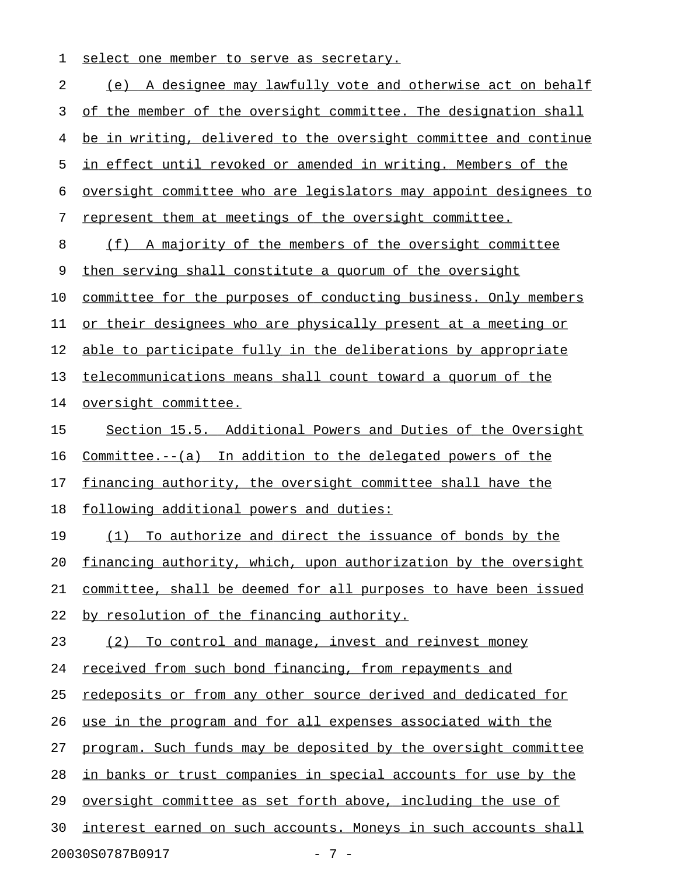1 select one member to serve as secretary.

2 (e) A designee may lawfully vote and otherwise act on behalf 3 of the member of the oversight committee. The designation shall 4 be in writing, delivered to the oversight committee and continue 5 in effect until revoked or amended in writing. Members of the 6 oversight committee who are legislators may appoint designees to 7 represent them at meetings of the oversight committee. 8 (f) A majority of the members of the oversight committee 9 then serving shall constitute a quorum of the oversight 10 committee for the purposes of conducting business. Only members 11 or their designees who are physically present at a meeting or 12 able to participate fully in the deliberations by appropriate 13 telecommunications means shall count toward a quorum of the 14 oversight committee. 15 Section 15.5. Additional Powers and Duties of the Oversight 16 Committee.--(a) In addition to the delegated powers of the 17 financing authority, the oversight committee shall have the 18 following additional powers and duties: 19 (1) To authorize and direct the issuance of bonds by the 20 financing authority, which, upon authorization by the oversight 21 committee, shall be deemed for all purposes to have been issued 22 by resolution of the financing authority. 23 (2) To control and manage, invest and reinvest money 24 received from such bond financing, from repayments and 25 redeposits or from any other source derived and dedicated for 26 use in the program and for all expenses associated with the 27 program. Such funds may be deposited by the oversight committee 28 in banks or trust companies in special accounts for use by the 29 oversight committee as set forth above, including the use of 30 interest earned on such accounts. Moneys in such accounts shall 20030S0787B0917 - 7 -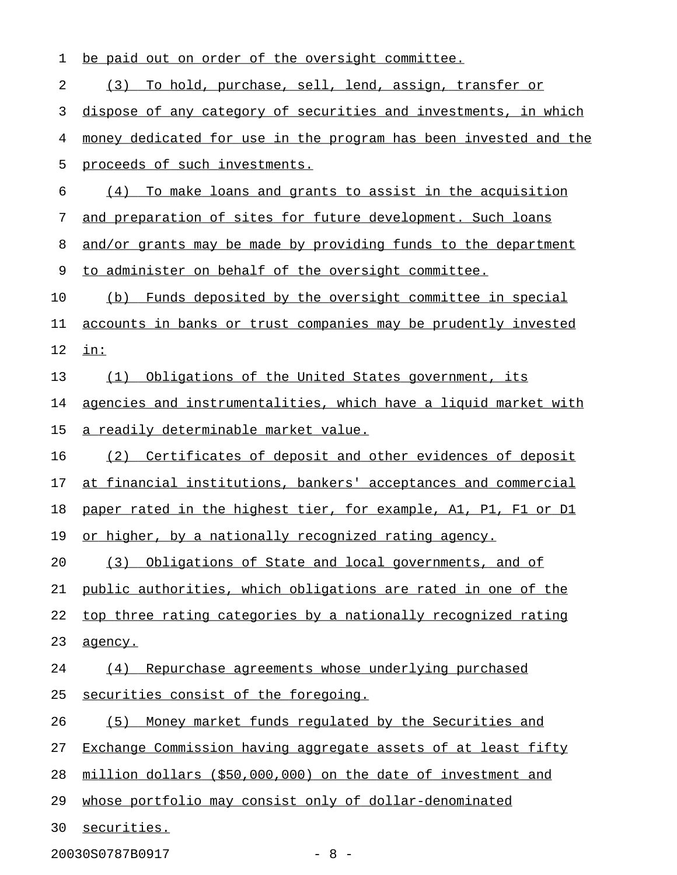| 1  | be paid out on order of the oversight committee.                 |
|----|------------------------------------------------------------------|
| 2  | To hold, purchase, sell, lend, assign, transfer or<br>(3)        |
| 3  | dispose of any category of securities and investments, in which  |
| 4  | money dedicated for use in the program has been invested and the |
| 5  | proceeds of such investments.                                    |
| 6  | (4) To make loans and grants to assist in the acquisition        |
| 7  | and preparation of sites for future development. Such loans      |
| 8  | and/or grants may be made by providing funds to the department   |
| 9  | to administer on behalf of the oversight committee.              |
| 10 | (b) Funds deposited by the oversight committee in special        |
| 11 | accounts in banks or trust companies may be prudently invested   |
| 12 | $i$ n:                                                           |
| 13 | Obligations of the United States government, its<br>(1)          |
| 14 | agencies and instrumentalities, which have a liquid market with  |
| 15 | a readily determinable market value.                             |
| 16 | (2) Certificates of deposit and other evidences of deposit       |
| 17 | at financial institutions, bankers' acceptances and commercial   |
| 18 | paper rated in the highest tier, for example, A1, P1, F1 or D1   |
| 19 | or higher, by a nationally recognized rating agency.             |
| 20 | Obligations of State and local governments, and of<br>(3)        |
| 21 | public authorities, which obligations are rated in one of the    |
| 22 | top three rating categories by a nationally recognized rating    |
| 23 | agency.                                                          |
| 24 | Repurchase agreements whose underlying purchased<br>(4)          |
| 25 | securities consist of the foregoing.                             |
| 26 | Money market funds regulated by the Securities and<br>(5)        |
| 27 | Exchange Commission having aggregate assets of at least fifty    |
| 28 | million dollars (\$50,000,000) on the date of investment and     |
| 29 | whose portfolio may consist only of dollar-denominated           |
| 30 | securities.                                                      |
|    | 20030S0787B0917<br>$-8 -$                                        |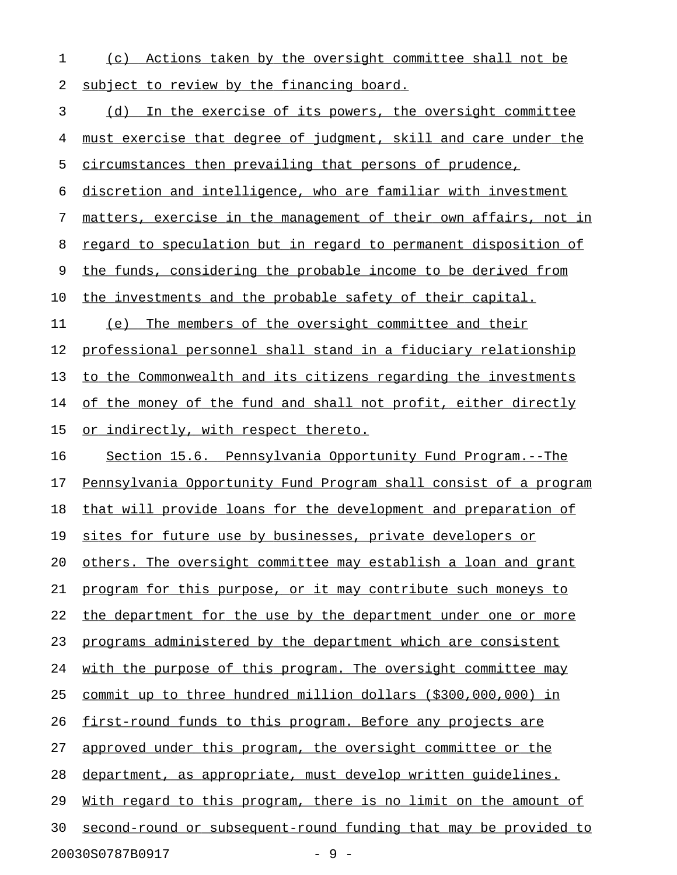1 (c) Actions taken by the oversight committee shall not be 2 subject to review by the financing board.

3 (d) In the exercise of its powers, the oversight committee 4 must exercise that degree of judgment, skill and care under the 5 circumstances then prevailing that persons of prudence, 6 discretion and intelligence, who are familiar with investment 7 matters, exercise in the management of their own affairs, not in 8 regard to speculation but in regard to permanent disposition of 9 the funds, considering the probable income to be derived from 10 the investments and the probable safety of their capital. 11 (e) The members of the oversight committee and their 12 professional personnel shall stand in a fiduciary relationship 13 to the Commonwealth and its citizens regarding the investments 14 of the money of the fund and shall not profit, either directly 15 or indirectly, with respect thereto. 16 Section 15.6. Pennsylvania Opportunity Fund Program.--The 17 Pennsylvania Opportunity Fund Program shall consist of a program 18 that will provide loans for the development and preparation of 19 sites for future use by businesses, private developers or 20 others. The oversight committee may establish a loan and grant 21 program for this purpose, or it may contribute such moneys to 22 the department for the use by the department under one or more 23 programs administered by the department which are consistent 24 with the purpose of this program. The oversight committee may 25 commit up to three hundred million dollars (\$300,000,000) in 26 first-round funds to this program. Before any projects are 27 approved under this program, the oversight committee or the 28 department, as appropriate, must develop written quidelines. 29 With regard to this program, there is no limit on the amount of 30 second-round or subsequent-round funding that may be provided to 20030S0787B0917 - 9 -